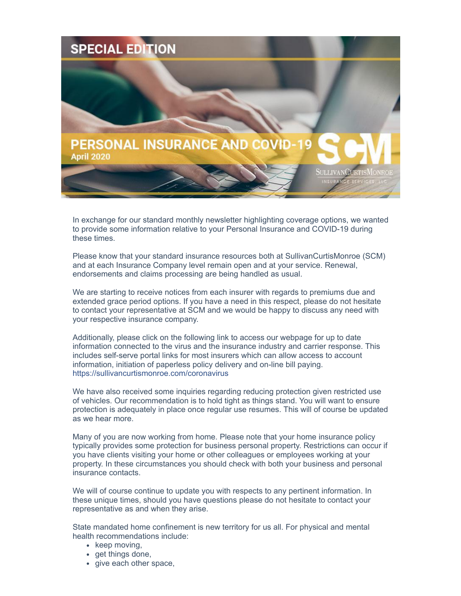

In exchange for our standard monthly newsletter highlighting coverage options, we wanted to provide some information relative to your Personal Insurance and COVID-19 during these times.

Please know that your standard insurance resources both at SullivanCurtisMonroe (SCM) and at each Insurance Company level remain open and at your service. Renewal, endorsements and claims processing are being handled as usual.

We are starting to receive notices from each insurer with regards to premiums due and extended grace period options. If you have a need in this respect, please do not hesitate to contact your representative at SCM and we would be happy to discuss any need with your respective insurance company.

Additionally, please click on the following link to access our webpage for up to date information connected to the virus and the insurance industry and carrier response. This includes self-serve portal links for most insurers which can allow access to account information, initiation of paperless policy delivery and on-line bill paying. https://sullivancurtismonroe.com/coronavirus

We have also received some inquiries regarding reducing protection given restricted use of vehicles. Our recommendation is to hold tight as things stand. You will want to ensure protection is adequately in place once regular use resumes. This will of course be updated as we hear more.

Many of you are now working from home. Please note that your home insurance policy typically provides some protection for business personal property. Restrictions can occur if you have clients visiting your home or other colleagues or employees working at your property. In these circumstances you should check with both your business and personal insurance contacts.

We will of course continue to update you with respects to any pertinent information. In these unique times, should you have questions please do not hesitate to contact your representative as and when they arise.

State mandated home confinement is new territory for us all. For physical and mental health recommendations include:

- $\bullet$  keep moving,
- get things done,
- give each other space,